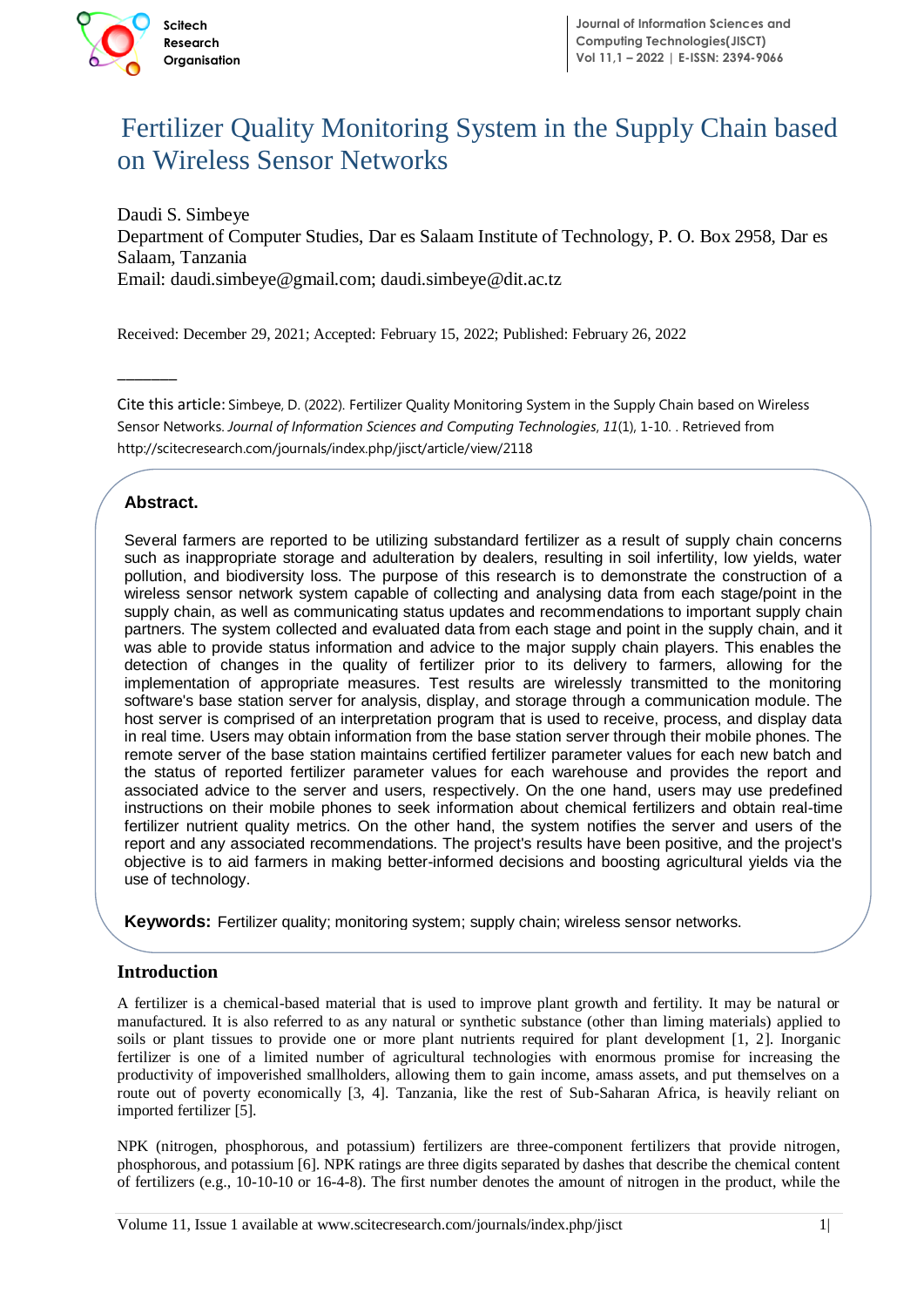

# Fertilizer Quality Monitoring System in the Supply Chain based on Wireless Sensor Networks

Daudi S. Simbeye Department of Computer Studies, Dar es Salaam Institute of Technology, P. O. Box 2958, Dar es Salaam, Tanzania Email: daudi.simbeye@gmail.com; daudi.simbeye@dit.ac.tz

Received: December 29, 2021; Accepted: February 15, 2022; Published: February 26, 2022

Cite this article: Simbeye, D. (2022). Fertilizer Quality Monitoring System in the Supply Chain based on Wireless Sensor Networks. *Journal of Information Sciences and Computing Technologies*, *11*(1), 1-10. . Retrieved from http://scitecresearch.com/journals/index.php/jisct/article/view/2118

# **Abstract.**

 $\overline{\phantom{a}}$ 

Several farmers are reported to be utilizing substandard fertilizer as a result of supply chain concerns pondion, and biodiversity loss. The purpose of this research is to demonstrate the construction of a<br>wireless sensor network system capable of collecting and analysing data from each stage/point in the such as inappropriate storage and adulteration by dealers, resulting in soil infertility, low yields, water pollution, and biodiversity loss. The purpose of this research is to demonstrate the construction of a supply chain, as well as communicating status updates and recommendations to important supply chain partners. The system collected and evaluated data from each stage and point in the supply chain, and it was able to provide status information and advice to the major supply chain players. This enables the detection of changes in the quality of fertilizer prior to its delivery to farmers, allowing for the implementation of appropriate measures. Test results are wirelessly transmitted to the monitoring software's base station server for analysis, display, and storage through a communication module. The host server is comprised of an interpretation program that is used to receive, process, and display data in real time. Users may obtain information from the base station server through their mobile phones. The remote server of the base station maintains certified fertilizer parameter values for each new batch and the status of reported fertilizer parameter values for each warehouse and provides the report and associated advice to the server and users, respectively. On the one hand, users may use predefined instructions on their mobile phones to seek information about chemical fertilizers and obtain real-time fertilizer nutrient quality metrics. On the other hand, the system notifies the server and users of the report and any associated recommendations. The project's results have been positive, and the project's objective is to aid farmers in making better-informed decisions and boosting agricultural yields via the use of technology.

**Keywords:** Fertilizer quality; monitoring system; supply chain; wireless sensor networks.

# **Introduction**

A fertilizer is a chemical-based material that is used to improve plant growth and fertility. It may be natural or manufactured. It is also referred to as any natural or synthetic substance (other than liming materials) applied to soils or plant tissues to provide one or more plant nutrients required for plant development [1, 2]. Inorganic fertilizer is one of a limited number of agricultural technologies with enormous promise for increasing the productivity of impoverished smallholders, allowing them to gain income, amass assets, and put themselves on a route out of poverty economically [3, 4]. Tanzania, like the rest of Sub-Saharan Africa, is heavily reliant on imported fertilizer [5].

NPK (nitrogen, phosphorous, and potassium) fertilizers are three-component fertilizers that provide nitrogen, phosphorous, and potassium [6]. NPK ratings are three digits separated by dashes that describe the chemical content of fertilizers (e.g., 10-10-10 or 16-4-8). The first number denotes the amount of nitrogen in the product, while the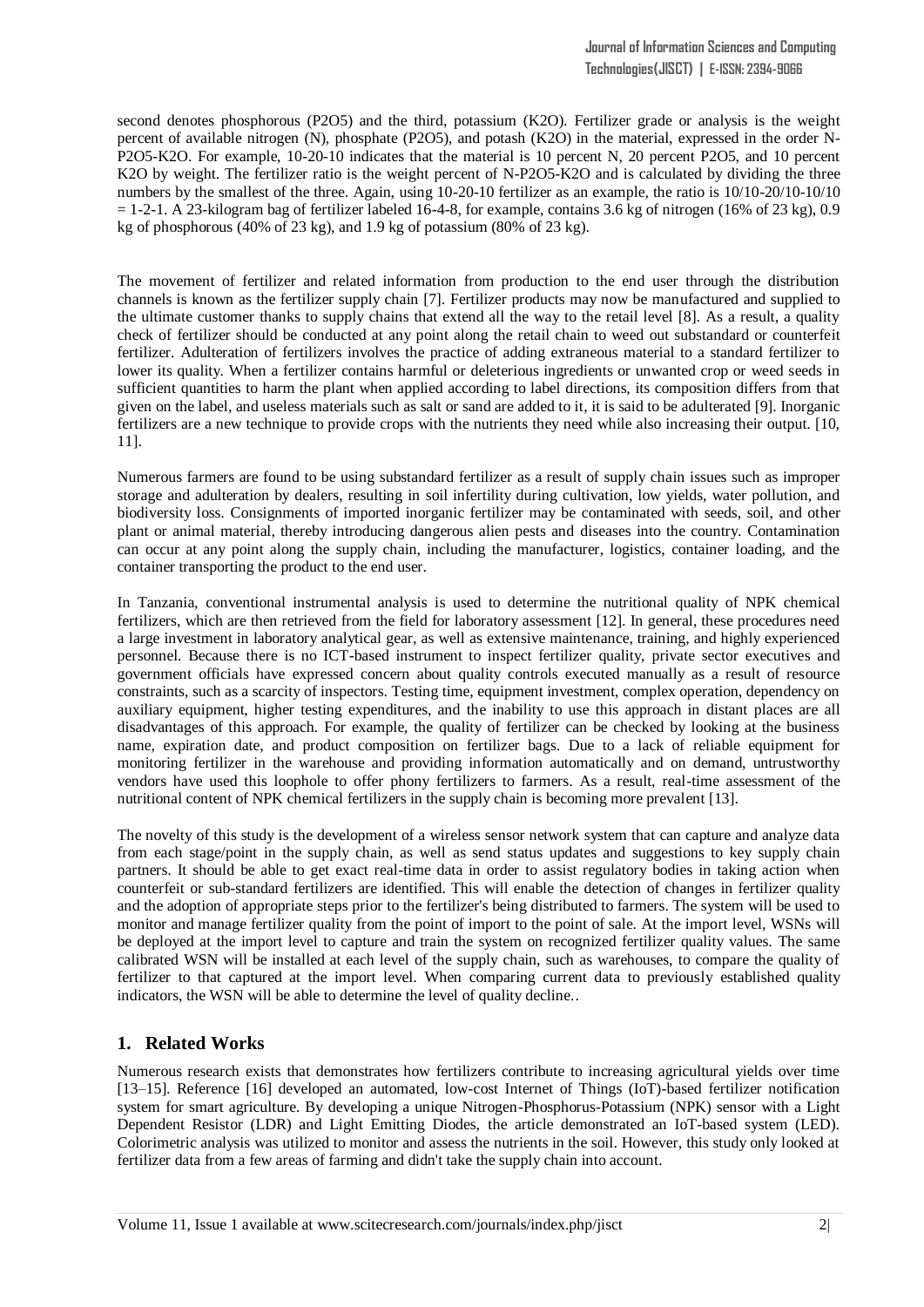second denotes phosphorous (P2O5) and the third, potassium (K2O). Fertilizer grade or analysis is the weight percent of available nitrogen (N), phosphate (P2O5), and potash (K2O) in the material, expressed in the order N-P2O5-K2O. For example, 10-20-10 indicates that the material is 10 percent N, 20 percent P2O5, and 10 percent K2O by weight. The fertilizer ratio is the weight percent of N-P2O5-K2O and is calculated by dividing the three numbers by the smallest of the three. Again, using 10-20-10 fertilizer as an example, the ratio is 10/10-20/10-10/10  $= 1-2-1$ . A 23-kilogram bag of fertilizer labeled 16-4-8, for example, contains 3.6 kg of nitrogen (16% of 23 kg), 0.9 kg of phosphorous (40% of 23 kg), and 1.9 kg of potassium (80% of 23 kg).

The movement of fertilizer and related information from production to the end user through the distribution channels is known as the fertilizer supply chain [7]. Fertilizer products may now be manufactured and supplied to the ultimate customer thanks to supply chains that extend all the way to the retail level [8]. As a result, a quality check of fertilizer should be conducted at any point along the retail chain to weed out substandard or counterfeit fertilizer. Adulteration of fertilizers involves the practice of adding extraneous material to a standard fertilizer to lower its quality. When a fertilizer contains harmful or deleterious ingredients or unwanted crop or weed seeds in sufficient quantities to harm the plant when applied according to label directions, its composition differs from that given on the label, and useless materials such as salt or sand are added to it, it is said to be adulterated [9]. Inorganic fertilizers are a new technique to provide crops with the nutrients they need while also increasing their output. [10, 11].

Numerous farmers are found to be using substandard fertilizer as a result of supply chain issues such as improper storage and adulteration by dealers, resulting in soil infertility during cultivation, low yields, water pollution, and biodiversity loss. Consignments of imported inorganic fertilizer may be contaminated with seeds, soil, and other plant or animal material, thereby introducing dangerous alien pests and diseases into the country. Contamination can occur at any point along the supply chain, including the manufacturer, logistics, container loading, and the container transporting the product to the end user.

In Tanzania, conventional instrumental analysis is used to determine the nutritional quality of NPK chemical fertilizers, which are then retrieved from the field for laboratory assessment [12]. In general, these procedures need a large investment in laboratory analytical gear, as well as extensive maintenance, training, and highly experienced personnel. Because there is no ICT-based instrument to inspect fertilizer quality, private sector executives and government officials have expressed concern about quality controls executed manually as a result of resource constraints, such as a scarcity of inspectors. Testing time, equipment investment, complex operation, dependency on auxiliary equipment, higher testing expenditures, and the inability to use this approach in distant places are all disadvantages of this approach. For example, the quality of fertilizer can be checked by looking at the business name, expiration date, and product composition on fertilizer bags. Due to a lack of reliable equipment for monitoring fertilizer in the warehouse and providing information automatically and on demand, untrustworthy vendors have used this loophole to offer phony fertilizers to farmers. As a result, real-time assessment of the nutritional content of NPK chemical fertilizers in the supply chain is becoming more prevalent [13].

The novelty of this study is the development of a wireless sensor network system that can capture and analyze data from each stage/point in the supply chain, as well as send status updates and suggestions to key supply chain partners. It should be able to get exact real-time data in order to assist regulatory bodies in taking action when counterfeit or sub-standard fertilizers are identified. This will enable the detection of changes in fertilizer quality and the adoption of appropriate steps prior to the fertilizer's being distributed to farmers. The system will be used to monitor and manage fertilizer quality from the point of import to the point of sale. At the import level, WSNs will be deployed at the import level to capture and train the system on recognized fertilizer quality values. The same calibrated WSN will be installed at each level of the supply chain, such as warehouses, to compare the quality of fertilizer to that captured at the import level. When comparing current data to previously established quality indicators, the WSN will be able to determine the level of quality decline..

#### **1. Related Works**

Numerous research exists that demonstrates how fertilizers contribute to increasing agricultural yields over time [13–15]. Reference [16] developed an automated, low-cost Internet of Things (IoT)-based fertilizer notification system for smart agriculture. By developing a unique Nitrogen-Phosphorus-Potassium (NPK) sensor with a Light Dependent Resistor (LDR) and Light Emitting Diodes, the article demonstrated an IoT-based system (LED). Colorimetric analysis was utilized to monitor and assess the nutrients in the soil. However, this study only looked at fertilizer data from a few areas of farming and didn't take the supply chain into account.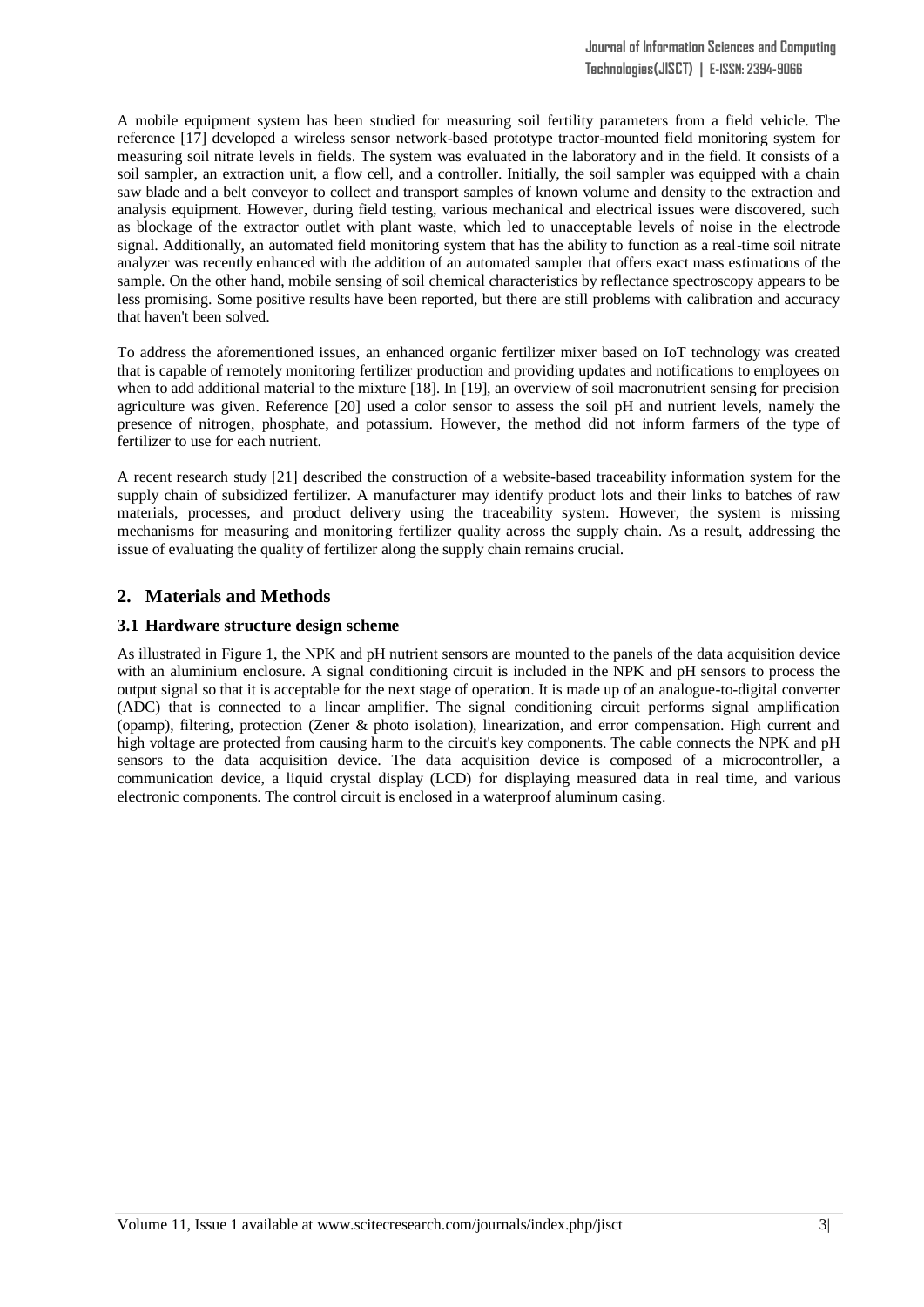A mobile equipment system has been studied for measuring soil fertility parameters from a field vehicle. The reference [17] developed a wireless sensor network-based prototype tractor-mounted field monitoring system for measuring soil nitrate levels in fields. The system was evaluated in the laboratory and in the field. It consists of a soil sampler, an extraction unit, a flow cell, and a controller. Initially, the soil sampler was equipped with a chain saw blade and a belt conveyor to collect and transport samples of known volume and density to the extraction and analysis equipment. However, during field testing, various mechanical and electrical issues were discovered, such as blockage of the extractor outlet with plant waste, which led to unacceptable levels of noise in the electrode signal. Additionally, an automated field monitoring system that has the ability to function as a real-time soil nitrate analyzer was recently enhanced with the addition of an automated sampler that offers exact mass estimations of the sample. On the other hand, mobile sensing of soil chemical characteristics by reflectance spectroscopy appears to be less promising. Some positive results have been reported, but there are still problems with calibration and accuracy that haven't been solved.

To address the aforementioned issues, an enhanced organic fertilizer mixer based on IoT technology was created that is capable of remotely monitoring fertilizer production and providing updates and notifications to employees on when to add additional material to the mixture [18]. In [19], an overview of soil macronutrient sensing for precision agriculture was given. Reference [20] used a color sensor to assess the soil pH and nutrient levels, namely the presence of nitrogen, phosphate, and potassium. However, the method did not inform farmers of the type of fertilizer to use for each nutrient.

A recent research study [21] described the construction of a website-based traceability information system for the supply chain of subsidized fertilizer. A manufacturer may identify product lots and their links to batches of raw materials, processes, and product delivery using the traceability system. However, the system is missing mechanisms for measuring and monitoring fertilizer quality across the supply chain. As a result, addressing the issue of evaluating the quality of fertilizer along the supply chain remains crucial.

# **2. Materials and Methods**

#### **3.1 Hardware structure design scheme**

As illustrated in Figure 1, the NPK and pH nutrient sensors are mounted to the panels of the data acquisition device with an aluminium enclosure. A signal conditioning circuit is included in the NPK and pH sensors to process the output signal so that it is acceptable for the next stage of operation. It is made up of an analogue-to-digital converter (ADC) that is connected to a linear amplifier. The signal conditioning circuit performs signal amplification (opamp), filtering, protection (Zener & photo isolation), linearization, and error compensation. High current and high voltage are protected from causing harm to the circuit's key components. The cable connects the NPK and pH sensors to the data acquisition device. The data acquisition device is composed of a microcontroller, a communication device, a liquid crystal display (LCD) for displaying measured data in real time, and various electronic components. The control circuit is enclosed in a waterproof aluminum casing.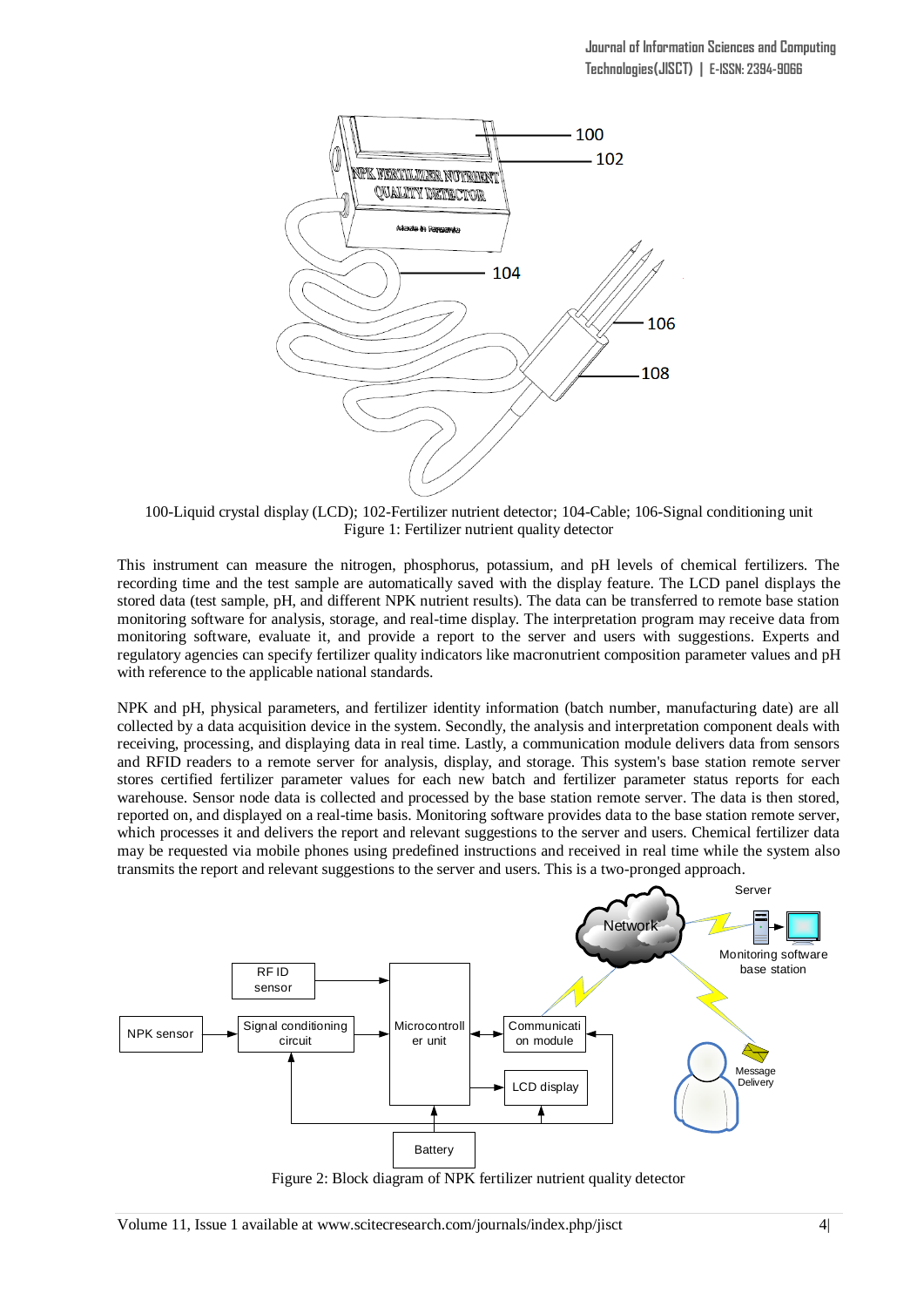

100-Liquid crystal display (LCD); 102-Fertilizer nutrient detector; 104-Cable; 106-Signal conditioning unit Figure 1: Fertilizer nutrient quality detector

This instrument can measure the nitrogen, phosphorus, potassium, and pH levels of chemical fertilizers. The recording time and the test sample are automatically saved with the display feature. The LCD panel displays the stored data (test sample, pH, and different NPK nutrient results). The data can be transferred to remote base station monitoring software for analysis, storage, and real-time display. The interpretation program may receive data from monitoring software, evaluate it, and provide a report to the server and users with suggestions. Experts and regulatory agencies can specify fertilizer quality indicators like macronutrient composition parameter values and pH with reference to the applicable national standards.

NPK and pH, physical parameters, and fertilizer identity information (batch number, manufacturing date) are all collected by a data acquisition device in the system. Secondly, the analysis and interpretation component deals with receiving, processing, and displaying data in real time. Lastly, a communication module delivers data from sensors and RFID readers to a remote server for analysis, display, and storage. This system's base station remote server stores certified fertilizer parameter values for each new batch and fertilizer parameter status reports for each warehouse. Sensor node data is collected and processed by the base station remote server. The data is then stored, reported on, and displayed on a real-time basis. Monitoring software provides data to the base station remote server, which processes it and delivers the report and relevant suggestions to the server and users. Chemical fertilizer data may be requested via mobile phones using predefined instructions and received in real time while the system also transmits the report and relevant suggestions to the server and users. This is a two-pronged approach.



Figure 2: Block diagram of NPK fertilizer nutrient quality detector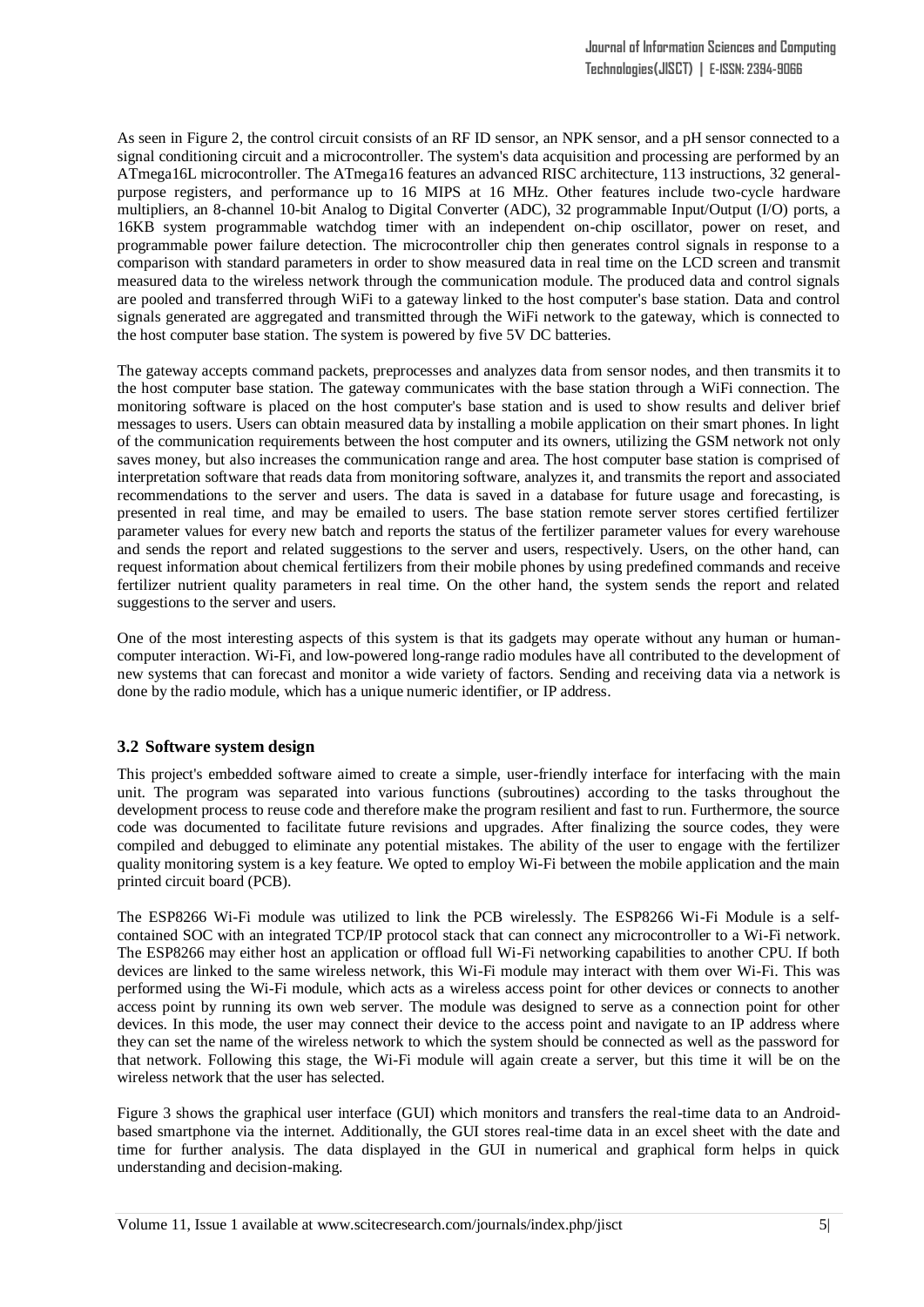As seen in Figure 2, the control circuit consists of an RF ID sensor, an NPK sensor, and a pH sensor connected to a signal conditioning circuit and a microcontroller. The system's data acquisition and processing are performed by an ATmega16L microcontroller. The ATmega16 features an advanced RISC architecture, 113 instructions, 32 generalpurpose registers, and performance up to 16 MIPS at 16 MHz. Other features include two-cycle hardware multipliers, an 8-channel 10-bit Analog to Digital Converter (ADC), 32 programmable Input/Output (I/O) ports, a 16KB system programmable watchdog timer with an independent on-chip oscillator, power on reset, and programmable power failure detection. The microcontroller chip then generates control signals in response to a comparison with standard parameters in order to show measured data in real time on the LCD screen and transmit measured data to the wireless network through the communication module. The produced data and control signals are pooled and transferred through WiFi to a gateway linked to the host computer's base station. Data and control signals generated are aggregated and transmitted through the WiFi network to the gateway, which is connected to the host computer base station. The system is powered by five 5V DC batteries.

The gateway accepts command packets, preprocesses and analyzes data from sensor nodes, and then transmits it to the host computer base station. The gateway communicates with the base station through a WiFi connection. The monitoring software is placed on the host computer's base station and is used to show results and deliver brief messages to users. Users can obtain measured data by installing a mobile application on their smart phones. In light of the communication requirements between the host computer and its owners, utilizing the GSM network not only saves money, but also increases the communication range and area. The host computer base station is comprised of interpretation software that reads data from monitoring software, analyzes it, and transmits the report and associated recommendations to the server and users. The data is saved in a database for future usage and forecasting, is presented in real time, and may be emailed to users. The base station remote server stores certified fertilizer parameter values for every new batch and reports the status of the fertilizer parameter values for every warehouse and sends the report and related suggestions to the server and users, respectively. Users, on the other hand, can request information about chemical fertilizers from their mobile phones by using predefined commands and receive fertilizer nutrient quality parameters in real time. On the other hand, the system sends the report and related suggestions to the server and users.

One of the most interesting aspects of this system is that its gadgets may operate without any human or humancomputer interaction. Wi-Fi, and low-powered long-range radio modules have all contributed to the development of new systems that can forecast and monitor a wide variety of factors. Sending and receiving data via a network is done by the radio module, which has a unique numeric identifier, or IP address.

#### **3.2 Software system design**

This project's embedded software aimed to create a simple, user-friendly interface for interfacing with the main unit. The program was separated into various functions (subroutines) according to the tasks throughout the development process to reuse code and therefore make the program resilient and fast to run. Furthermore, the source code was documented to facilitate future revisions and upgrades. After finalizing the source codes, they were compiled and debugged to eliminate any potential mistakes. The ability of the user to engage with the fertilizer quality monitoring system is a key feature. We opted to employ Wi-Fi between the mobile application and the main printed circuit board (PCB).

The ESP8266 Wi-Fi module was utilized to link the PCB wirelessly. The ESP8266 Wi-Fi Module is a selfcontained SOC with an integrated TCP/IP protocol stack that can connect any microcontroller to a Wi-Fi network. The ESP8266 may either host an application or offload full Wi-Fi networking capabilities to another CPU. If both devices are linked to the same wireless network, this Wi-Fi module may interact with them over Wi-Fi. This was performed using the Wi-Fi module, which acts as a wireless access point for other devices or connects to another access point by running its own web server. The module was designed to serve as a connection point for other devices. In this mode, the user may connect their device to the access point and navigate to an IP address where they can set the name of the wireless network to which the system should be connected as well as the password for that network. Following this stage, the Wi-Fi module will again create a server, but this time it will be on the wireless network that the user has selected.

Figure 3 shows the graphical user interface (GUI) which monitors and transfers the real-time data to an Androidbased smartphone via the internet. Additionally, the GUI stores real-time data in an excel sheet with the date and time for further analysis. The data displayed in the GUI in numerical and graphical form helps in quick understanding and decision-making.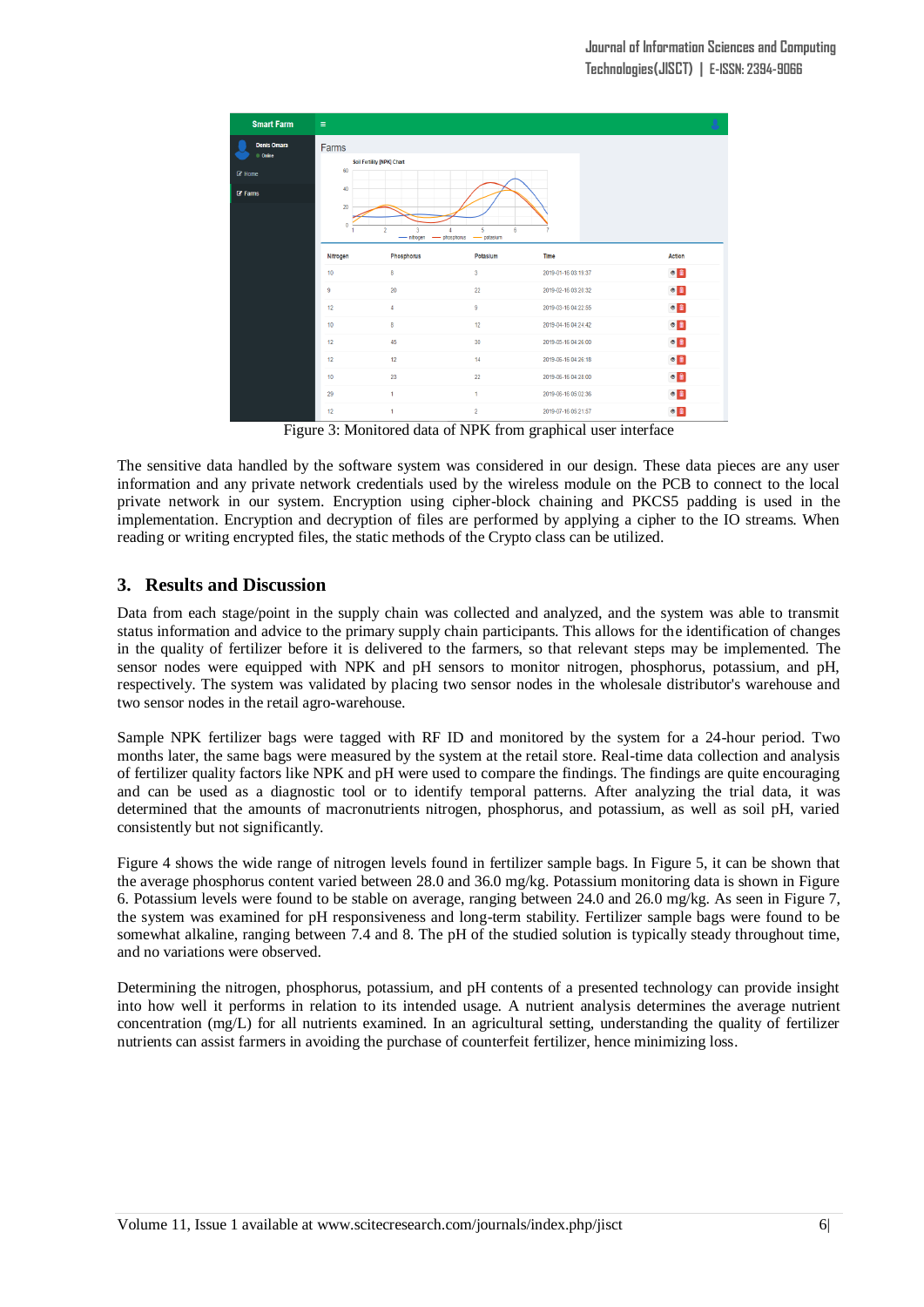

Figure 3: Monitored data of NPK from graphical user interface

The sensitive data handled by the software system was considered in our design. These data pieces are any user information and any private network credentials used by the wireless module on the PCB to connect to the local private network in our system. Encryption using cipher-block chaining and PKCS5 padding is used in the implementation. Encryption and decryption of files are performed by applying a cipher to the IO streams. When reading or writing encrypted files, the static methods of the Crypto class can be utilized.

## **3. Results and Discussion**

Data from each stage/point in the supply chain was collected and analyzed, and the system was able to transmit status information and advice to the primary supply chain participants. This allows for the identification of changes in the quality of fertilizer before it is delivered to the farmers, so that relevant steps may be implemented. The sensor nodes were equipped with NPK and pH sensors to monitor nitrogen, phosphorus, potassium, and pH, respectively. The system was validated by placing two sensor nodes in the wholesale distributor's warehouse and two sensor nodes in the retail agro-warehouse.

Sample NPK fertilizer bags were tagged with RF ID and monitored by the system for a 24-hour period. Two months later, the same bags were measured by the system at the retail store. Real-time data collection and analysis of fertilizer quality factors like NPK and pH were used to compare the findings. The findings are quite encouraging and can be used as a diagnostic tool or to identify temporal patterns. After analyzing the trial data, it was determined that the amounts of macronutrients nitrogen, phosphorus, and potassium, as well as soil pH, varied consistently but not significantly.

Figure 4 shows the wide range of nitrogen levels found in fertilizer sample bags. In Figure 5, it can be shown that the average phosphorus content varied between 28.0 and 36.0 mg/kg. Potassium monitoring data is shown in Figure 6. Potassium levels were found to be stable on average, ranging between 24.0 and 26.0 mg/kg. As seen in Figure 7, the system was examined for pH responsiveness and long-term stability. Fertilizer sample bags were found to be somewhat alkaline, ranging between 7.4 and 8. The pH of the studied solution is typically steady throughout time, and no variations were observed.

Determining the nitrogen, phosphorus, potassium, and pH contents of a presented technology can provide insight into how well it performs in relation to its intended usage. A nutrient analysis determines the average nutrient concentration (mg/L) for all nutrients examined. In an agricultural setting, understanding the quality of fertilizer nutrients can assist farmers in avoiding the purchase of counterfeit fertilizer, hence minimizing loss.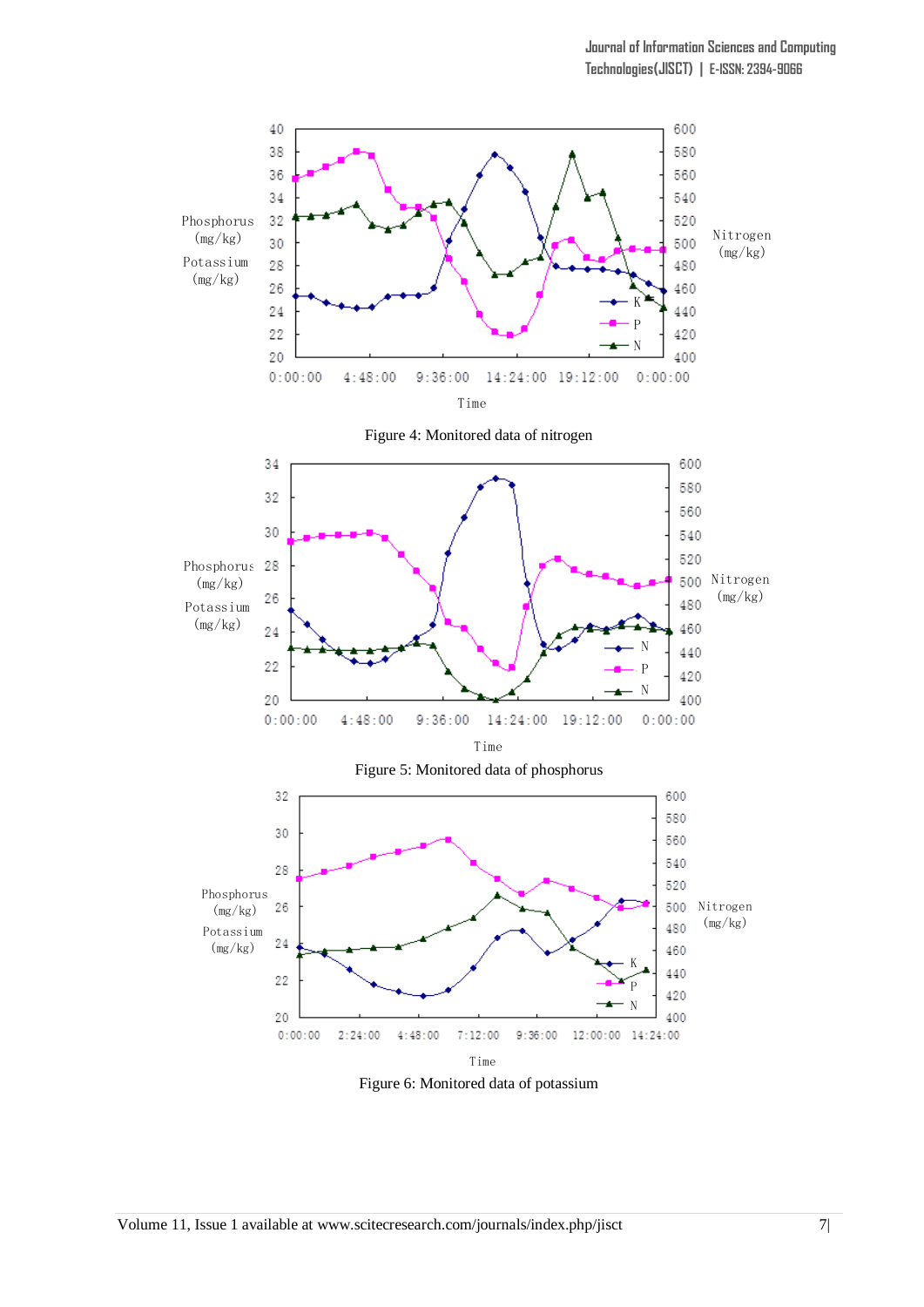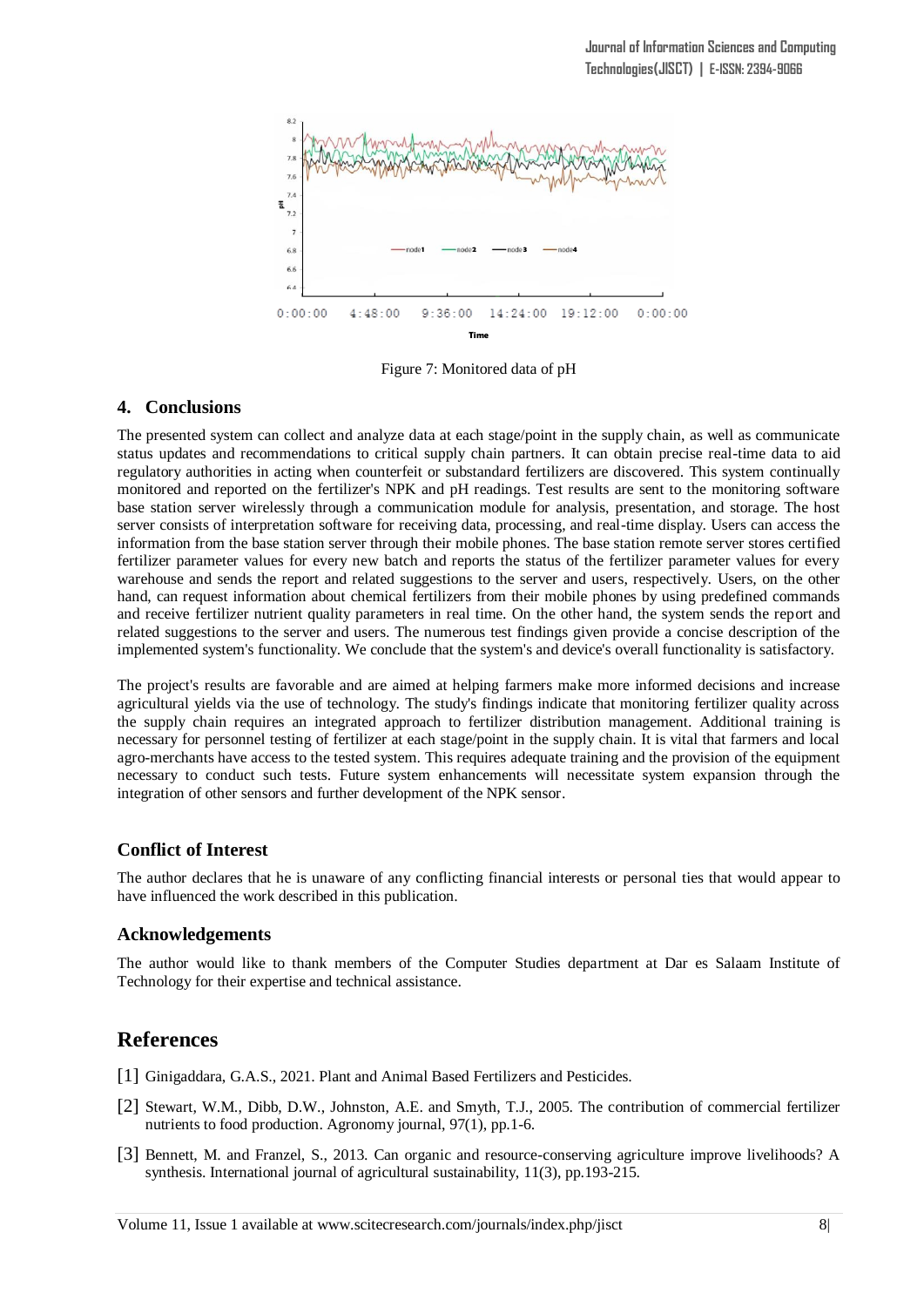

Figure 7: Monitored data of pH

## **4. Conclusions**

The presented system can collect and analyze data at each stage/point in the supply chain, as well as communicate status updates and recommendations to critical supply chain partners. It can obtain precise real-time data to aid regulatory authorities in acting when counterfeit or substandard fertilizers are discovered. This system continually monitored and reported on the fertilizer's NPK and pH readings. Test results are sent to the monitoring software base station server wirelessly through a communication module for analysis, presentation, and storage. The host server consists of interpretation software for receiving data, processing, and real-time display. Users can access the information from the base station server through their mobile phones. The base station remote server stores certified fertilizer parameter values for every new batch and reports the status of the fertilizer parameter values for every warehouse and sends the report and related suggestions to the server and users, respectively. Users, on the other hand, can request information about chemical fertilizers from their mobile phones by using predefined commands and receive fertilizer nutrient quality parameters in real time. On the other hand, the system sends the report and related suggestions to the server and users. The numerous test findings given provide a concise description of the implemented system's functionality. We conclude that the system's and device's overall functionality is satisfactory.

The project's results are favorable and are aimed at helping farmers make more informed decisions and increase agricultural yields via the use of technology. The study's findings indicate that monitoring fertilizer quality across the supply chain requires an integrated approach to fertilizer distribution management. Additional training is necessary for personnel testing of fertilizer at each stage/point in the supply chain. It is vital that farmers and local agro-merchants have access to the tested system. This requires adequate training and the provision of the equipment necessary to conduct such tests. Future system enhancements will necessitate system expansion through the integration of other sensors and further development of the NPK sensor.

#### **Conflict of Interest**

The author declares that he is unaware of any conflicting financial interests or personal ties that would appear to have influenced the work described in this publication.

#### **Acknowledgements**

The author would like to thank members of the Computer Studies department at Dar es Salaam Institute of Technology for their expertise and technical assistance.

# **References**

- [1] Ginigaddara, G.A.S., 2021. Plant and Animal Based Fertilizers and Pesticides.
- [2] Stewart, W.M., Dibb, D.W., Johnston, A.E. and Smyth, T.J., 2005. The contribution of commercial fertilizer nutrients to food production. Agronomy journal, 97(1), pp.1-6.
- [3] Bennett, M. and Franzel, S., 2013. Can organic and resource-conserving agriculture improve livelihoods? A synthesis. International journal of agricultural sustainability, 11(3), pp.193-215.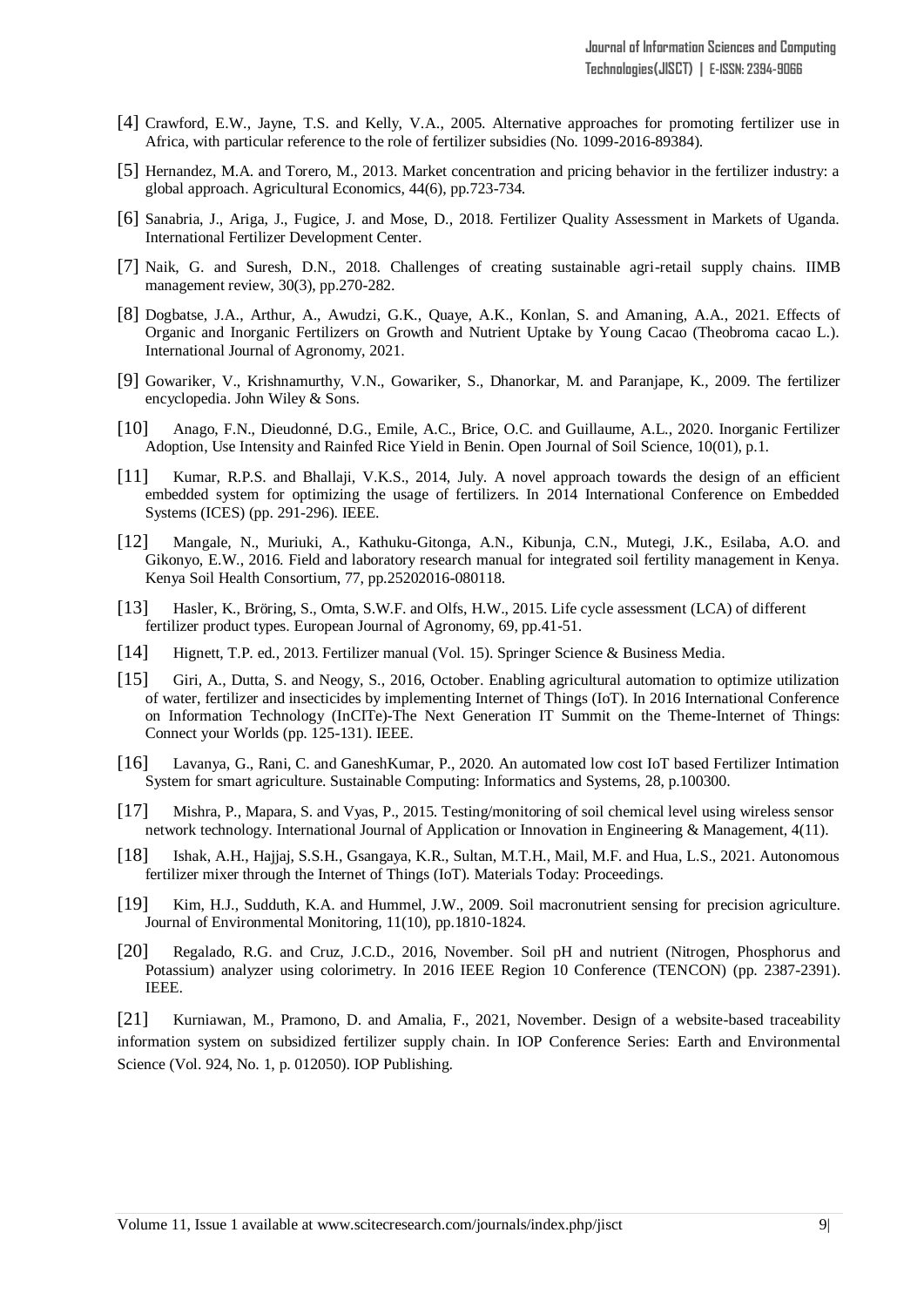- [4] Crawford, E.W., Jayne, T.S. and Kelly, V.A., 2005. Alternative approaches for promoting fertilizer use in Africa, with particular reference to the role of fertilizer subsidies (No. 1099-2016-89384).
- [5] Hernandez, M.A. and Torero, M., 2013. Market concentration and pricing behavior in the fertilizer industry: a global approach. Agricultural Economics, 44(6), pp.723-734.
- [6] Sanabria, J., Ariga, J., Fugice, J. and Mose, D., 2018. Fertilizer Quality Assessment in Markets of Uganda. International Fertilizer Development Center.
- [7] Naik, G. and Suresh, D.N., 2018. Challenges of creating sustainable agri-retail supply chains. IIMB management review, 30(3), pp.270-282.
- [8] Dogbatse, J.A., Arthur, A., Awudzi, G.K., Quaye, A.K., Konlan, S. and Amaning, A.A., 2021. Effects of Organic and Inorganic Fertilizers on Growth and Nutrient Uptake by Young Cacao (Theobroma cacao L.). International Journal of Agronomy, 2021.
- [9] Gowariker, V., Krishnamurthy, V.N., Gowariker, S., Dhanorkar, M. and Paranjape, K., 2009. The fertilizer encyclopedia. John Wiley & Sons.
- [10] Anago, F.N., Dieudonné, D.G., Emile, A.C., Brice, O.C. and Guillaume, A.L., 2020. Inorganic Fertilizer Adoption, Use Intensity and Rainfed Rice Yield in Benin. Open Journal of Soil Science, 10(01), p.1.
- [11] Kumar, R.P.S. and Bhallaji, V.K.S., 2014, July. A novel approach towards the design of an efficient embedded system for optimizing the usage of fertilizers. In 2014 International Conference on Embedded Systems (ICES) (pp. 291-296). IEEE.
- [12] Mangale, N., Muriuki, A., Kathuku-Gitonga, A.N., Kibunja, C.N., Mutegi, J.K., Esilaba, A.O. and Gikonyo, E.W., 2016. Field and laboratory research manual for integrated soil fertility management in Kenya. Kenya Soil Health Consortium, 77, pp.25202016-080118.
- [13] Hasler, K., Bröring, S., Omta, S.W.F. and Olfs, H.W., 2015. Life cycle assessment (LCA) of different fertilizer product types. European Journal of Agronomy, 69, pp.41-51.
- [14] Hignett, T.P. ed., 2013. Fertilizer manual (Vol. 15). Springer Science & Business Media.
- [15] Giri, A., Dutta, S. and Neogy, S., 2016, October. Enabling agricultural automation to optimize utilization of water, fertilizer and insecticides by implementing Internet of Things (IoT). In 2016 International Conference on Information Technology (InCITe)-The Next Generation IT Summit on the Theme-Internet of Things: Connect your Worlds (pp. 125-131). IEEE.
- [16] Lavanya, G., Rani, C. and GaneshKumar, P., 2020. An automated low cost IoT based Fertilizer Intimation System for smart agriculture. Sustainable Computing: Informatics and Systems, 28, p.100300.
- [17] Mishra, P., Mapara, S. and Vyas, P., 2015. Testing/monitoring of soil chemical level using wireless sensor network technology. International Journal of Application or Innovation in Engineering & Management, 4(11).
- [18] Ishak, A.H., Hajjaj, S.S.H., Gsangaya, K.R., Sultan, M.T.H., Mail, M.F. and Hua, L.S., 2021. Autonomous fertilizer mixer through the Internet of Things (IoT). Materials Today: Proceedings.
- [19] Kim, H.J., Sudduth, K.A. and Hummel, J.W., 2009. Soil macronutrient sensing for precision agriculture. Journal of Environmental Monitoring, 11(10), pp.1810-1824.
- [20] Regalado, R.G. and Cruz, J.C.D., 2016, November. Soil pH and nutrient (Nitrogen, Phosphorus and Potassium) analyzer using colorimetry. In 2016 IEEE Region 10 Conference (TENCON) (pp. 2387-2391). IEEE.

[21] Kurniawan, M., Pramono, D. and Amalia, F., 2021, November. Design of a website-based traceability information system on subsidized fertilizer supply chain. In IOP Conference Series: Earth and Environmental Science (Vol. 924, No. 1, p. 012050). IOP Publishing.